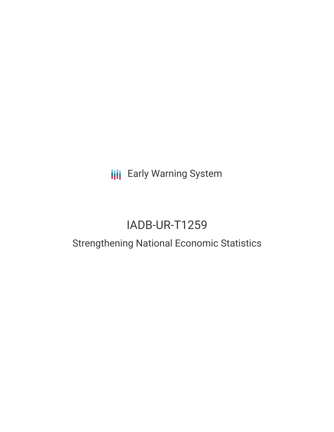**III** Early Warning System

# IADB-UR-T1259

## Strengthening National Economic Statistics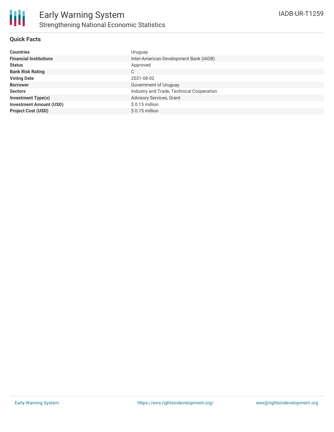

### **Quick Facts**

| <b>Countries</b>               | Uruguay                                   |
|--------------------------------|-------------------------------------------|
| <b>Financial Institutions</b>  | Inter-American Development Bank (IADB)    |
| <b>Status</b>                  | Approved                                  |
| <b>Bank Risk Rating</b>        | С                                         |
| <b>Voting Date</b>             | 2021-08-02                                |
| <b>Borrower</b>                | Government of Uruguay                     |
| <b>Sectors</b>                 | Industry and Trade, Technical Cooperation |
| <b>Investment Type(s)</b>      | <b>Advisory Services, Grant</b>           |
| <b>Investment Amount (USD)</b> | $$0.15$ million                           |
| <b>Project Cost (USD)</b>      | $$0.15$ million                           |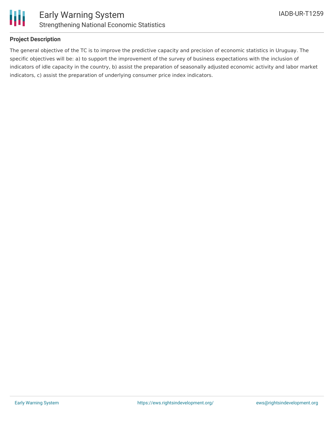

### **Project Description**

The general objective of the TC is to improve the predictive capacity and precision of economic statistics in Uruguay. The specific objectives will be: a) to support the improvement of the survey of business expectations with the inclusion of indicators of idle capacity in the country, b) assist the preparation of seasonally adjusted economic activity and labor market indicators, c) assist the preparation of underlying consumer price index indicators.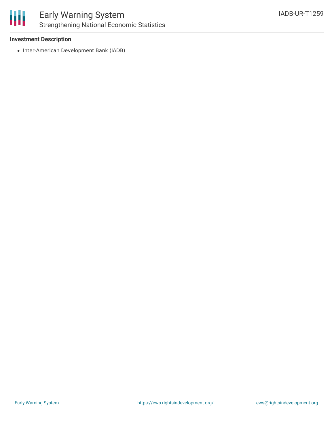

### Early Warning System Strengthening National Economic Statistics

### **Investment Description**

• Inter-American Development Bank (IADB)